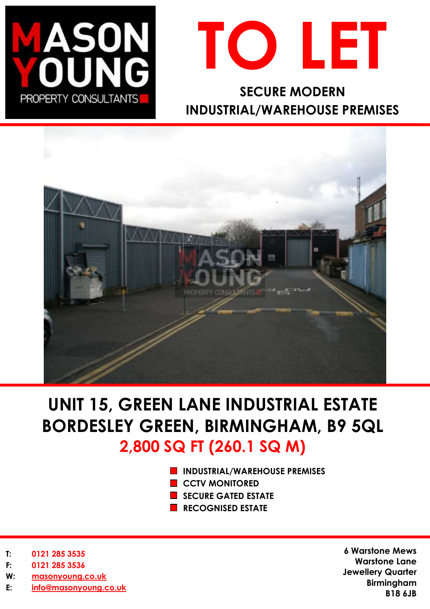



**SECURE MODERN INDUSTRIAL/WAREHOUSE PREMISES**



# **UNIT 15, GREEN LANE INDUSTRIAL ESTATE BORDESLEY GREEN, BIRMINGHAM, B9 5QL 2,800 SQ FT (260.1 SQ M)**

- **INDUSTRIAL/WAREHOUSE PREMISES**
- **CCTV MONITORED**
- **SECURE GATED ESTATE**
- **RECOGNISED ESTATE**

- **T: 0121 285 3535**
- **F: 0121 285 3536**
- **W: [masonyoung.co.uk](http://www.masonyoung.co.uk/)**
- **E: [info@masonyoung.co.uk](mailto:info@masonyoung.co.uk)**

**6 Warstone Mews Warstone Lane Jewellery Quarter Birmingham B18 6JB**